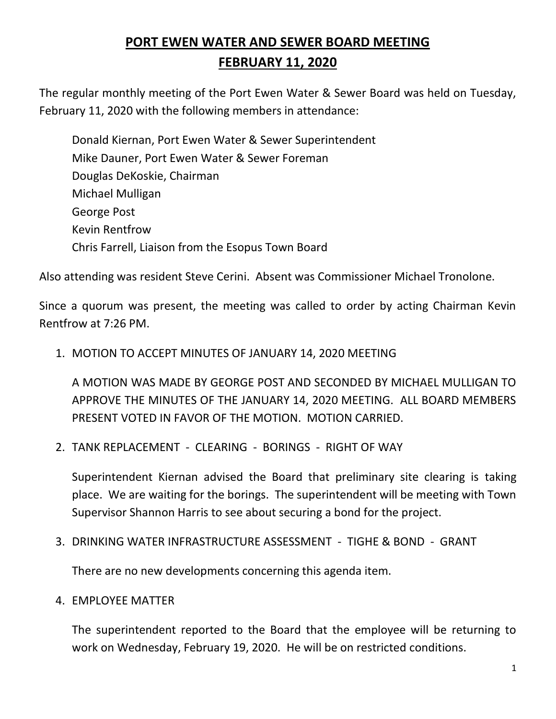# **PORT EWEN WATER AND SEWER BOARD MEETING FEBRUARY 11, 2020**

The regular monthly meeting of the Port Ewen Water & Sewer Board was held on Tuesday, February 11, 2020 with the following members in attendance:

Donald Kiernan, Port Ewen Water & Sewer Superintendent Mike Dauner, Port Ewen Water & Sewer Foreman Douglas DeKoskie, Chairman Michael Mulligan George Post Kevin Rentfrow Chris Farrell, Liaison from the Esopus Town Board

Also attending was resident Steve Cerini. Absent was Commissioner Michael Tronolone.

Since a quorum was present, the meeting was called to order by acting Chairman Kevin Rentfrow at 7:26 PM.

1. MOTION TO ACCEPT MINUTES OF JANUARY 14, 2020 MEETING

A MOTION WAS MADE BY GEORGE POST AND SECONDED BY MICHAEL MULLIGAN TO APPROVE THE MINUTES OF THE JANUARY 14, 2020 MEETING. ALL BOARD MEMBERS PRESENT VOTED IN FAVOR OF THE MOTION. MOTION CARRIED.

2. TANK REPLACEMENT - CLEARING - BORINGS - RIGHT OF WAY

Superintendent Kiernan advised the Board that preliminary site clearing is taking place. We are waiting for the borings. The superintendent will be meeting with Town Supervisor Shannon Harris to see about securing a bond for the project.

3. DRINKING WATER INFRASTRUCTURE ASSESSMENT - TIGHE & BOND - GRANT

There are no new developments concerning this agenda item.

4. EMPLOYEE MATTER

The superintendent reported to the Board that the employee will be returning to work on Wednesday, February 19, 2020. He will be on restricted conditions.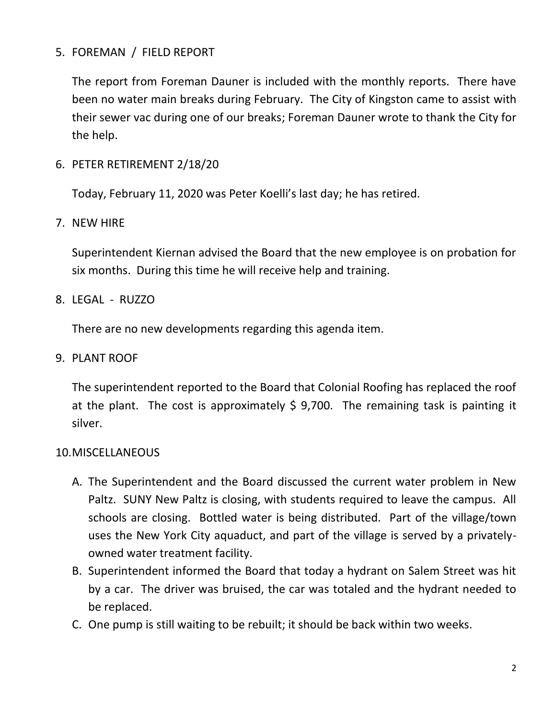### 5. FOREMAN / FIELD REPORT

The report from Foreman Dauner is included with the monthly reports. There have been no water main breaks during February. The City of Kingston came to assist with their sewer vac during one of our breaks; Foreman Dauner wrote to thank the City for the help.

6. PETER RETIREMENT 2/18/20

Today, February 11, 2020 was Peter Koelli's last day; he has retired.

7. NEW HIRE

Superintendent Kiernan advised the Board that the new employee is on probation for six months. During this time he will receive help and training.

8. LEGAL - RUZZO

There are no new developments regarding this agenda item.

9. PLANT ROOF

The superintendent reported to the Board that Colonial Roofing has replaced the roof at the plant. The cost is approximately  $\frac{1}{2}$  9,700. The remaining task is painting it silver.

#### 10.MISCELLANEOUS

- A. The Superintendent and the Board discussed the current water problem in New Paltz. SUNY New Paltz is closing, with students required to leave the campus. All schools are closing. Bottled water is being distributed. Part of the village/town uses the New York City aquaduct, and part of the village is served by a privatelyowned water treatment facility.
- B. Superintendent informed the Board that today a hydrant on Salem Street was hit by a car. The driver was bruised, the car was totaled and the hydrant needed to be replaced.
- C. One pump is still waiting to be rebuilt; it should be back within two weeks.